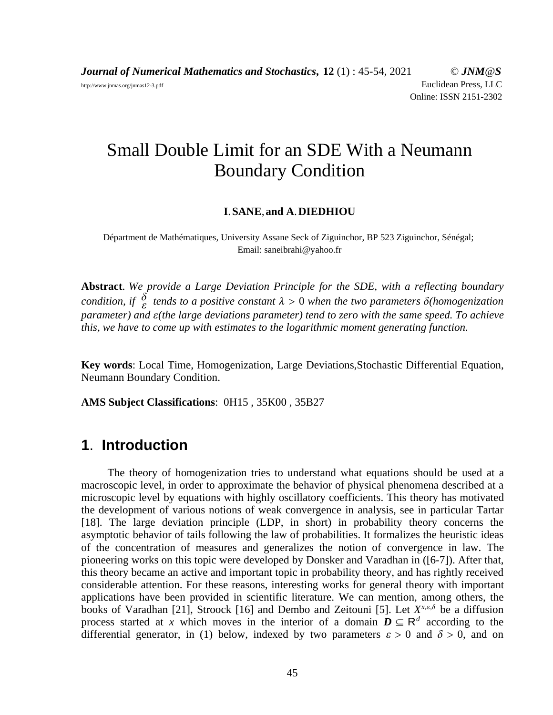*Journal of Numerical Mathematics and Stochastics***, 12** (1) : 45-54, 2021 © *JNM@S* http://www.jnmas.org/jnmas12-3.pdf Euclidean Press, LLC Online: ISSN 2151-2302

# Small Double Limit for an SDE With a Neumann Boundary Condition

#### **I**.**SANE**,**and A**.**DIEDHIOU**

Départment de Mathématiques, University Assane Seck of Ziguinchor, BP 523 Ziguinchor, Sénégal; Email: saneibrahi@yahoo.fr

**Abstract**. *We provide a Large Deviation Principle for the SDE, with a reflecting boundary condition, if*  $\frac{\delta}{\epsilon}$  *tends to a positive constant*  $\lambda > 0$  *when the two parameters*  $\delta$ (*homogenization parameter) and*  $\varepsilon$ *(the large deviations parameter) tend to zero with the same speed. To achieve this, we have to come up with estimates to the logarithmic moment generating function.*

**Key words**: Local Time, Homogenization, Large Deviations,Stochastic Differential Equation, Neumann Boundary Condition.

**AMS Subject Classifications**: 0H15 , 35K00 , 35B27

### **1**. **Introduction**

The theory of homogenization tries to understand what equations should be used at a macroscopic level, in order to approximate the behavior of physical phenomena described at a microscopic level by equations with highly oscillatory coefficients. This theory has motivated the development of various notions of weak convergence in analysis, see in particular Tartar [18]. The large deviation principle (LDP, in short) in probability theory concerns the asymptotic behavior of tails following the law of probabilities. It formalizes the heuristic ideas of the concentration of measures and generalizes the notion of convergence in law. The pioneering works on this topic were developed by Donsker and Varadhan in ([6-7]). After that, this theory became an active and important topic in probability theory, and has rightly received considerable attention. For these reasons, interesting works for general theory with important applications have been provided in scientific literature. We can mention, among others, the books of Varadhan [21], Stroock [16] and Dembo and Zeitouni [5]. Let  $X^{x,\varepsilon,\delta}$  be a diffusion process started at *x* which moves in the interior of a domain  $D \subseteq \mathbb{R}^d$  according to the differential generator, in (1) below, indexed by two parameters  $\varepsilon > 0$  and  $\delta > 0$ , and on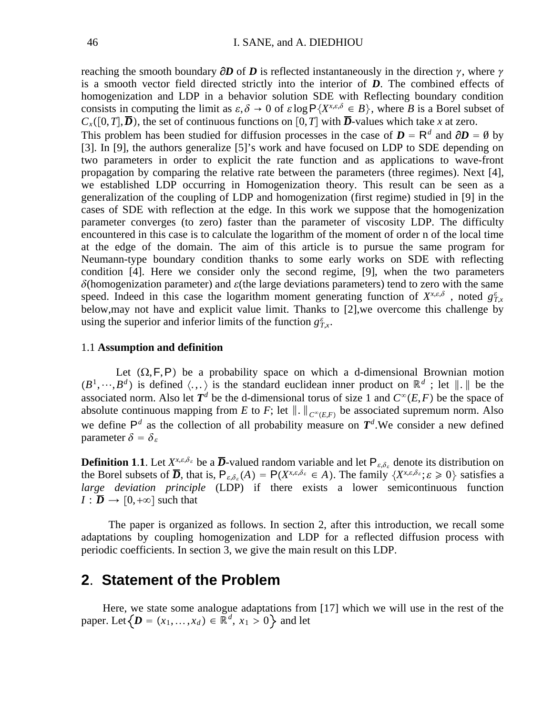reaching the smooth boundary  $\partial D$  of  $D$  is reflected instantaneously in the direction  $\gamma$ , where  $\gamma$ is a smooth vector field directed strictly into the interior of *D*. The combined effects of homogenization and LDP in a behavior solution SDE with Reflecting boundary condition consists in computing the limit as  $\varepsilon, \delta \to 0$  of  $\varepsilon \log P\{X^{x,\varepsilon,\delta} \in B\}$ , where *B* is a Borel subset of  $C_x([0,T],\overline{D})$ , the set of continuous functions on [0, *T*] with  $\overline{D}$ -values which take *x* at zero.

This problem has been studied for diffusion processes in the case of  $D = R^d$  and  $\partial D = \emptyset$  by [3]. In [9], the authors generalize [5]'s work and have focused on LDP to SDE depending on two parameters in order to explicit the rate function and as applications to wave-front propagation by comparing the relative rate between the parameters (three regimes). Next [4], we established LDP occurring in Homogenization theory. This result can be seen as a generalization of the coupling of LDP and homogenization (first regime) studied in [9] in the cases of SDE with reflection at the edge. In this work we suppose that the homogenization parameter converges (to zero) faster than the parameter of viscosity LDP. The difficulty encountered in this case is to calculate the logarithm of the moment of order n of the local time at the edge of the domain. The aim of this article is to pursue the same program for Neumann-type boundary condition thanks to some early works on SDE with reflecting condition [4]. Here we consider only the second regime, [9], when the two parameters  $\delta$ (homogenization parameter) and  $\epsilon$ (the large deviations parameters) tend to zero with the same speed. Indeed in this case the logarithm moment generating function of  $X^{x,\varepsilon,\delta}$ , noted  $g_{T,x}^{\varepsilon}$ below,may not have and explicit value limit. Thanks to [2],we overcome this challenge by using the superior and inferior limits of the function  $g_{T,x}^{\varepsilon}$ .

#### 1.1 **Assumption and definition**

Let  $(\Omega, F, P)$  be a probability space on which a d-dimensional Brownian motion  $(B^1,\dots, B^d)$  is defined  $\langle \dots \rangle$  is the standard euclidean inner product on  $\mathbb{R}^d$ ; let  $\|\cdot\|$  be the associated norm. Also let  $T^d$  be the d-dimensional torus of size 1 and  $C^{\infty}(E, F)$  be the space of absolute continuous mapping from *E* to *F*; let  $\|\cdot\|_{C^{\infty}(E,F)}$  be associated supremum norm. Also we define  $P^d$  as the collection of all probability measure on  $T^d$ . We consider a new defined parameter  $\delta = \delta_{\epsilon}$ 

**Definition 1.1.** Let  $X^{x,\varepsilon,\delta_{\varepsilon}}$  be a  $\overline{D}$ -valued random variable and let  $P_{\varepsilon,\delta_{\varepsilon}}$  denote its distribution on the Borel subsets of  $\overline{D}$ , that is,  $P_{\varepsilon,\delta_{\varepsilon}}(A) = P(X^{x,\varepsilon,\delta_{\varepsilon}} \in A)$ . The family  $\{X^{x,\varepsilon,\delta_{\varepsilon}}; \varepsilon \ge 0\}$  satisfies a *large deviation principle* (LDP) if there exists a lower semicontinuous function  $I : \overline{D} \rightarrow [0, +\infty]$  such that

The paper is organized as follows. In section 2, after this introduction, we recall some adaptations by coupling homogenization and LDP for a reflected diffusion process with periodic coefficients. In section 3, we give the main result on this LDP.

### **2**. **Statement of the Problem**

Here, we state some analogue adaptations from [17] which we will use in the rest of the paper. Let  $\{D = (x_1, \ldots, x_d) \in \mathbb{R}^d, x_1 > 0\}$  and let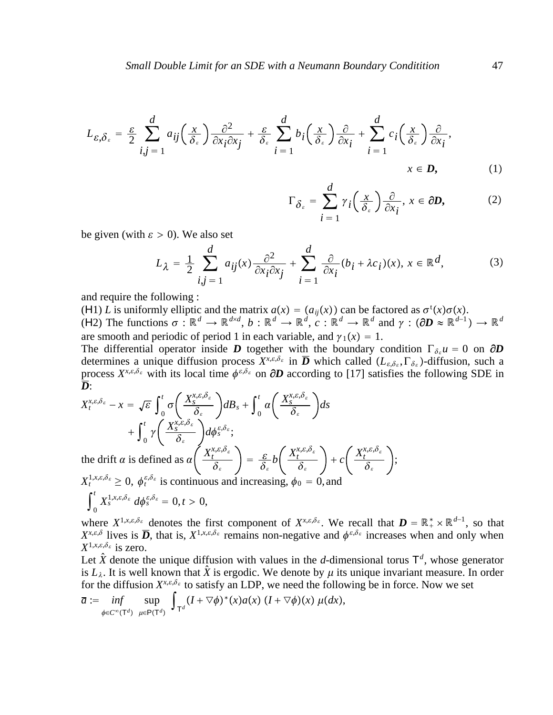$$
L_{\varepsilon,\delta_{\varepsilon}} = \frac{\varepsilon}{2} \sum_{i,j=1}^{d} a_{ij} \left( \frac{x}{\delta_{\varepsilon}} \right) \frac{\partial^{2}}{\partial x_{i} \partial x_{j}} + \frac{\varepsilon}{\delta_{\varepsilon}} \sum_{i=1}^{d} b_{i} \left( \frac{x}{\delta_{\varepsilon}} \right) \frac{\partial}{\partial x_{i}} + \sum_{i=1}^{d} c_{i} \left( \frac{x}{\delta_{\varepsilon}} \right) \frac{\partial}{\partial x_{i}},
$$
  
\n $x \in \mathbf{D},$  (1)

$$
\Gamma_{\delta_{\varepsilon}} = \sum_{i=1}^{d} \gamma_{i} \left( \frac{x}{\delta_{\varepsilon}} \right) \frac{\partial}{\partial x_{i}}, \, x \in \partial D, \tag{2}
$$

;

be given (with  $\varepsilon > 0$ ). We also set

$$
L_{\lambda} = \frac{1}{2} \sum_{i,j=1}^{d} a_{ij}(x) \frac{\partial^2}{\partial x_i \partial x_j} + \sum_{i=1}^{d} \frac{\partial}{\partial x_i} (b_i + \lambda c_i)(x), x \in \mathbb{R}^d,
$$
 (3)

and require the following :

(H1) *L* is uniformly elliptic and the matrix  $a(x) = (a_{ij}(x))$  can be factored as  $\sigma^t(x)\sigma(x)$ . (H2) The functions  $\sigma : \mathbb{R}^d \to \mathbb{R}^{d \times d}$ ,  $b : \mathbb{R}^d \to \mathbb{R}^d$ ,  $c : \mathbb{R}^d \to \mathbb{R}^d$  and  $\gamma : (\partial D \approx \mathbb{R}^{d-1}) \to \mathbb{R}^d$ are smooth and periodic of period 1 in each variable, and  $\gamma_1(x) = 1$ .

The differential operator inside *D* together with the boundary condition  $\Gamma_{\delta_{\varepsilon}} u = 0$  on  $\partial D$ determines a unique diffusion process  $X^{x,\varepsilon,\delta_{\varepsilon}}$  in  $\overline{D}$  which called  $(L_{\varepsilon,\delta_{\varepsilon}},\Gamma_{\delta_{\varepsilon}})$ -diffusion, such a process  $X^{x,\varepsilon,\delta_{\varepsilon}}$  with its local time  $\phi^{\varepsilon,\delta_{\varepsilon}}$  on  $\partial D$  according to [17] satisfies the following SDE in *D*:

$$
X_t^{x,\varepsilon,\delta_{\varepsilon}} - x = \sqrt{\varepsilon} \int_0^t \sigma \left( \frac{X_s^{x,\varepsilon,\delta_{\varepsilon}}}{\delta_{\varepsilon}} \right) dB_s + \int_0^t \alpha \left( \frac{X_s^{x,\varepsilon,\delta_{\varepsilon}}}{\delta_{\varepsilon}} \right) ds
$$
  
+ 
$$
\int_0^t \gamma \left( \frac{X_s^{x,\varepsilon,\delta_{\varepsilon}}}{\delta_{\varepsilon}} \right) d\phi_s^{\varepsilon,\delta_{\varepsilon}};
$$
  
the drift  $\alpha$  is defined as  $\alpha \left( \frac{X_t^{x,\varepsilon,\delta_{\varepsilon}}}{\delta_{\varepsilon}} \right) = \frac{\varepsilon}{\delta_{\varepsilon}} b \left( \frac{X_t^{x,\varepsilon,\delta_{\varepsilon}}}{\delta_{\varepsilon}} \right) + c \left( \frac{X_t^{x,\varepsilon,\delta_{\varepsilon}}}{\delta_{\varepsilon}} \right)$ 

 $X_t^{1,x,\varepsilon,\delta_{\varepsilon}} \geq 0$ ,  $\phi_t^{\varepsilon,\delta_{\varepsilon}}$  is continuous and increasing,  $\phi_0 = 0$ , and

$$
\int_0^t X_s^{1,x,\varepsilon,\delta_{\varepsilon}} d\phi_s^{\varepsilon,\delta_{\varepsilon}} = 0, t > 0,
$$

where  $X^{1,x,\varepsilon,\delta_{\varepsilon}}$  denotes the first component of  $X^{x,\varepsilon,\delta_{\varepsilon}}$ . We recall that  $\boldsymbol{D} = \mathbb{R}_+^* \times \mathbb{R}^{d-1}$ , so that  $X^{x,\epsilon,\delta}$  lives is  $\overline{D}$ , that is,  $X^{1,x,\epsilon,\delta_{\epsilon}}$  remains non-negative and  $\phi^{\epsilon,\delta_{\epsilon}}$  increases when and only when  $X^{1,x,\varepsilon,\delta_{\varepsilon}}$  is zero.

Let  $\hat{X}$  denote the unique diffusion with values in the *d*-dimensional torus  $T<sup>d</sup>$ , whose generator is  $L_{\lambda}$ . It is well known that  $\hat{X}$  is ergodic. We denote by  $\mu$  its unique invariant measure. In order for the diffusion  $X^{x,\varepsilon,\delta_{\varepsilon}}$  to satisfy an LDP, we need the following be in force. Now we set

$$
\overline{a} := \inf_{\phi \in C^{\infty}(\mathsf{T}^d)} \sup_{\mu \in \mathsf{P}(\mathsf{T}^d)} \int_{\mathsf{T}^d} (I + \nabla \phi)^*(x) a(x) \ (I + \nabla \phi)(x) \ \mu(dx),
$$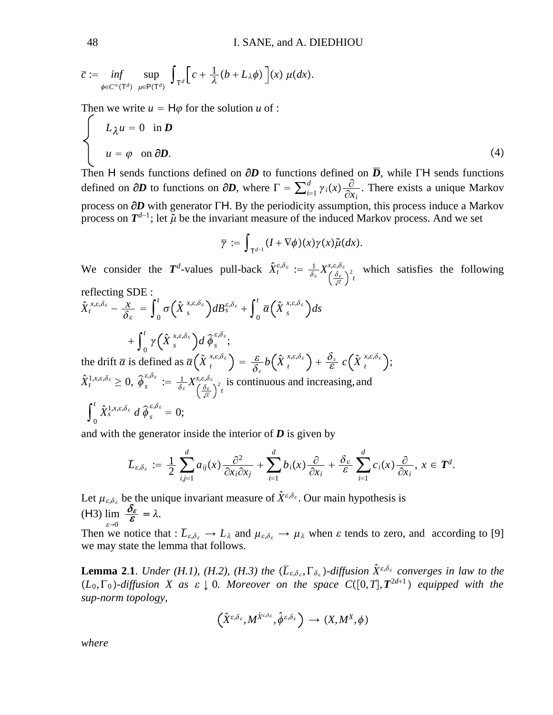$$
\overline{c} := \inf_{\phi \in C^{\infty}(\mathsf{T}^d)} \sup_{\mu \in \mathsf{P}(\mathsf{T}^d)} \int_{\mathsf{T}^d} \left[ c + \frac{1}{\lambda} (b + L_{\lambda} \phi) \right](x) \mu(dx).
$$

Then we write  $u = H\varphi$  for the solution  $u$  of :

$$
\begin{cases}\nL_{\lambda}u = 0 & \text{in } D \\
u = \varphi & \text{on } \partial D.\n\end{cases}
$$
\n(4)

Then H sends functions defined on  $\partial D$  to functions defined on  $\overline{D}$ , while ΓH sends functions defined on  $\partial D$  to functions on  $\partial D$ , where  $\Gamma = \sum_{i=1}^{d} \gamma_i(x) \frac{\partial}{\partial x_i}$ . There exists a unique Markov process on **∂***D* with generator ΓH. By the periodicity assumption, this process induce a Markov process on  $T^{d-1}$ ; let  $\tilde{\mu}$  be the invariant measure of the induced Markov process. And we set

$$
\overline{\gamma} := \int_{\mathsf{T}^{d-1}} (I + \nabla \phi)(x) \gamma(x) \tilde{\mu}(dx).
$$

We consider the  $T^d$ -values pull-back  $\hat{X}^{\varepsilon,\delta_{\varepsilon}}_t := \frac{1}{\delta_{\varepsilon}} X^{\varepsilon,\delta,\delta}_{\left(\frac{\delta_{\varepsilon}}{\sqrt{\varepsilon}}\right)}$  $\left(\frac{\delta_{\varepsilon}}{\sigma_{\varepsilon}}\right)^2 t$  which satisfies the following reflecting SDE :

$$
\hat{X}_{t}^{x,\varepsilon,\delta_{\varepsilon}} - \frac{x}{\delta_{\varepsilon}} = \int_{0}^{t} \sigma\left(\hat{X}_{s}^{x,\varepsilon,\delta_{\varepsilon}}\right) dB_{s}^{\varepsilon,\delta_{\varepsilon}} + \int_{0}^{t} \overline{\alpha}\left(\hat{X}_{s}^{x,\varepsilon,\delta_{\varepsilon}}\right) ds \n+ \int_{0}^{t} \gamma\left(\hat{X}_{s}^{x,\varepsilon,\delta_{\varepsilon}}\right) d \widehat{\phi}_{s}^{\varepsilon,\delta_{\varepsilon}} ;\n\text{the drift } \overline{\alpha} \text{ is defined as } \overline{\alpha}\left(\hat{X}_{t}^{x,\varepsilon,\delta_{\varepsilon}}\right) = \frac{\varepsilon}{\delta_{\varepsilon}} b\left(\hat{X}_{t}^{x,\varepsilon,\delta_{\varepsilon}}\right) + \frac{\delta_{\varepsilon}}{\varepsilon} c\left(\hat{X}_{t}^{x,\varepsilon,\delta_{\varepsilon}}\right);
$$

 $\hat{X}^{1,x,\varepsilon,\delta_{\varepsilon}}_t \geq 0, \ \widehat{\phi}^{\varepsilon,\delta_{\varepsilon}}_s \ := \ \frac{1}{\delta_{\varepsilon}} X^{x,\varepsilon,\delta}_{\left(\frac{\delta_{\varepsilon}}{\sqrt{\varepsilon}}\right)}$  $\left(\frac{\delta_{\varepsilon}}{\sigma_{\varepsilon}}\right)^2 t$  is continuous and increasing, and  $\int_0^t$  $\hat{X}^{1,x,\varepsilon,\delta_{\varepsilon}}_{s}$  *d*  $\widehat{\phi}$  $\widehat{\phi}^{\varepsilon,\delta_{\varepsilon}}_{s}=0;$ 

and with the generator inside the interior of  $D$  is given by

$$
\overline{L}_{\varepsilon,\delta_{\varepsilon}}:=\frac{1}{2}\sum_{i,j=1}^da_{ij}(x)\frac{\partial^2}{\partial x_i\partial x_j}+\sum_{i=1}^db_i(x)\frac{\partial}{\partial x_i}+\frac{\delta_{\varepsilon}}{\varepsilon}\sum_{i=1}^dc_i(x)\frac{\partial}{\partial x_i},\ x\in T^d.
$$

Let  $\mu_{\varepsilon, \delta_{\varepsilon}}$  be the unique invariant measure of  $\hat{X}^{\varepsilon, \delta_{\varepsilon}}$ . Our main hypothesis is (H3)  $\varepsilon \rightarrow 0$  $\lim \frac{\delta_{\varepsilon}}{\varepsilon} = \lambda.$ 

Then we notice that :  $\overline{L}_{\varepsilon,\delta_{\varepsilon}} \to L_{\lambda}$  and  $\mu_{\varepsilon,\delta_{\varepsilon}} \to \mu_{\lambda}$  when  $\varepsilon$  tends to zero, and according to [9] we may state the lemma that follows.

**Lemma 2.1.** *Under (H.1), (H.2), (H.3) the*  $(\overline{L}_{\varepsilon,\delta_{\varepsilon}},\Gamma_{\delta_{\varepsilon}})$ -diffusion  $\hat{X}^{\varepsilon,\delta_{\varepsilon}}$  converges in law to the  $(L_0, \Gamma_0)$ -diffusion X as  $\varepsilon \downarrow 0$ . Moreover on the space  $C([0, T], T^{2d+1})$  equipped with the *sup-norm topology,*

$$
\left(\hat{X}^{\varepsilon,\delta_{\varepsilon}},M^{\hat{X}^{\varepsilon,\delta_{\varepsilon}}},\hat{\phi}^{\varepsilon,\delta_{\varepsilon}}\right)\to(X,M^X,\phi)
$$

*where*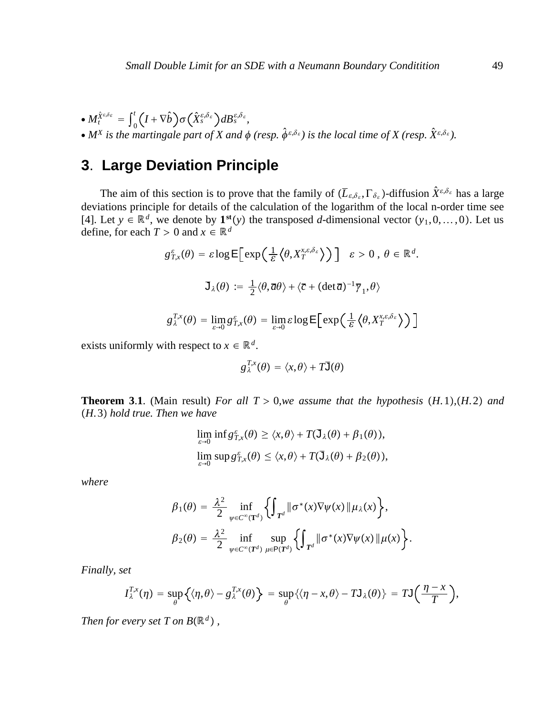$\bullet M_t^{\hat{X}^{\varepsilon,\delta_{\varepsilon}}} = \int_0^t \left( I + \nabla \hat{b} \right) \sigma \left( \hat{X}_s^{\varepsilon,\delta_{\varepsilon}} \right) dB_s^{\varepsilon,\delta_{\varepsilon}},$ •  $M^X$  is the martingale part of X and  $\phi$  (resp.  $\hat{\phi}^{\varepsilon,\delta_{\varepsilon}}$ ) is the local time of X (resp.  $\hat{X}^{\varepsilon,\delta_{\varepsilon}}$ ).

## **3**. **Large Deviation Principle**

The aim of this section is to prove that the family of  $(\overline{L}_{\varepsilon,\delta_{\varepsilon}}, \Gamma_{\delta_{\varepsilon}})$ -diffusion  $\hat{X}^{\varepsilon,\delta_{\varepsilon}}$  has a large deviations principle for details of the calculation of the logarithm of the local n-order time see [4]. Let  $y \in \mathbb{R}^d$ , we denote by  $\mathbf{1}^{st}(y)$  the transposed *d*-dimensional vector  $(y_1, 0, \ldots, 0)$ . Let us define, for each  $T > 0$  and  $x \in \mathbb{R}^d$ 

$$
g_{T,x}^{\varepsilon}(\theta) = \varepsilon \log \mathsf{E}\Big[\exp\Big(\frac{1}{\varepsilon} \Big\langle \theta, X_T^{x,\varepsilon,\delta_{\varepsilon}} \Big\rangle\Big)\Big] \quad \varepsilon > 0 \,, \, \theta \in \mathbb{R}^d.
$$
  

$$
\mathsf{J}_{\lambda}(\theta) := \frac{1}{2} \langle \theta, \overline{a}\theta \rangle + \langle \overline{c} + (\det \overline{a})^{-1} \overline{\gamma}_1, \theta \rangle
$$
  

$$
g_{\lambda}^{T,x}(\theta) = \lim_{\varepsilon \to 0} g_{T,x}^{\varepsilon}(\theta) = \lim_{\varepsilon \to 0} \varepsilon \log \mathsf{E}\Big[\exp\Big(\frac{1}{\varepsilon} \Big\langle \theta, X_T^{x,\varepsilon,\delta_{\varepsilon}} \Big\rangle\Big)\Big]
$$

$$
g_{\lambda}^{T,x}(\theta) = \lim_{\varepsilon \to 0} g_{T,x}^{\varepsilon}(\theta) = \lim_{\varepsilon \to 0} \varepsilon \log \mathsf{E} \big[ \exp \big( \frac{1}{\varepsilon} \big\langle \theta, X_T^{x,\varepsilon,\delta_{\varepsilon}} \big\rangle \big)
$$

exists uniformly with respect to  $x \in \mathbb{R}^d$ .

$$
g_\lambda^{T,x}(\theta) = \langle x,\theta\rangle + T\overline{\mathsf{J}}(\theta)
$$

**Theorem 3.1**. (Main result) *For all T* > 0*,we assume that the hypothesis*  $(H. 1)$ *,* $(H. 2)$  *and H*. 3 *hold true. Then we have*

$$
\lim_{\varepsilon \to 0} \inf g_{T,x}^{\varepsilon}(\theta) \ge \langle x, \theta \rangle + T(\mathbf{J}_{\lambda}(\theta) + \beta_1(\theta)),
$$
  

$$
\lim_{\varepsilon \to 0} \sup g_{T,x}^{\varepsilon}(\theta) \le \langle x, \theta \rangle + T(\mathbf{J}_{\lambda}(\theta) + \beta_2(\theta)),
$$

*where*

$$
\beta_1(\theta) = \frac{\lambda^2}{2} \inf_{\psi \in C^{\infty}(\mathbf{T}^d)} \left\{ \int_{\mathbf{T}^d} ||\sigma^*(x)\nabla \psi(x)||\mu_{\lambda}(x) \right\},
$$
  

$$
\beta_2(\theta) = \frac{\lambda^2}{2} \inf_{\psi \in C^{\infty}(\mathbf{T}^d)} \sup_{\mu \in \mathbf{P}(\mathbf{T}^d)} \left\{ \int_{\mathbf{T}^d} ||\sigma^*(x)\nabla \psi(x)||\mu(x) \right\}.
$$

*Finally, set*

$$
I_{\lambda}^{T,x}(\eta) = \sup_{\theta} \left\{ \langle \eta, \theta \rangle - g_{\lambda}^{T,x}(\theta) \right\} = \sup_{\theta} \left\{ \langle \eta - x, \theta \rangle - T \mathsf{J}_{\lambda}(\theta) \right\} = T \mathsf{J} \left( \frac{\eta - x}{T} \right),
$$

*Then for every set T on B* $(\mathbb{R}^d)$ ,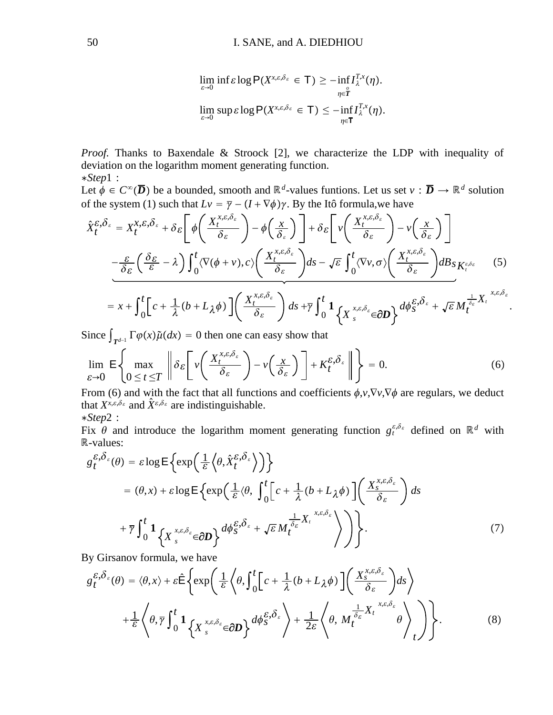$$
\lim_{\varepsilon \to 0} \inf \varepsilon \log \mathsf{P}(X^{\chi, \varepsilon, \delta_{\varepsilon}} \in \mathsf{T}) \geq - \inf_{\eta \in \mathring{T}} I_{\lambda}^{T, \chi}(\eta).
$$
\n
$$
\lim_{\varepsilon \to 0} \sup \varepsilon \log \mathsf{P}(X^{\chi, \varepsilon, \delta_{\varepsilon}} \in \mathsf{T}) \leq - \inf_{\eta \in \mathsf{T}} I_{\lambda}^{T, \chi}(\eta).
$$

*Proof.* Thanks to Baxendale & Stroock [2], we characterize the LDP with inequality of deviation on the logarithm moment generating function. ∗*Step*1 :

Let  $\phi \in C^{\infty}(\overline{D})$  be a bounded, smooth and  $\mathbb{R}^d$ -values funtions. Let us set  $v : \overline{D} \to \mathbb{R}^d$  solution of the system (1) such that  $Lv = \overline{\gamma} - (I + \nabla \phi)\gamma$ . By the Itô formula, we have

$$
\hat{X}_{t}^{\varepsilon,\delta_{\varepsilon}} = X_{t}^{x,\varepsilon,\delta_{\varepsilon}} + \delta_{\varepsilon} \left[ \phi \left( \frac{X_{t}^{x,\varepsilon,\delta_{\varepsilon}}}{\delta_{\varepsilon}} \right) - \phi \left( \frac{x}{\delta_{\varepsilon}} \right) \right] + \delta_{\varepsilon} \left[ \nu \left( \frac{X_{t}^{x,\varepsilon,\delta_{\varepsilon}}}{\delta_{\varepsilon}} \right) - \nu \left( \frac{x}{\delta_{\varepsilon}} \right) \right]
$$
\n
$$
- \frac{\varepsilon}{\delta_{\varepsilon}} \left( \frac{\delta_{\varepsilon}}{\varepsilon} - \lambda \right) \int_{0}^{t} \langle \nabla(\phi + \nu), c \rangle \left( \frac{X_{t}^{x,\varepsilon,\delta_{\varepsilon}}}{\delta_{\varepsilon}} \right) ds - \sqrt{\varepsilon} \int_{0}^{t} \langle \nabla \nu, \sigma \rangle \left( \frac{X_{t}^{x,\varepsilon,\delta_{\varepsilon}}}{\delta_{\varepsilon}} \right) dB_{S} K_{t}^{\varepsilon,\delta_{\varepsilon}} \tag{5}
$$

$$
=x+\int_0^t\left[c+\frac{1}{\lambda}(b+L_{\lambda}\phi)\right]\left(\frac{X_t^{x,\varepsilon,\delta_{\varepsilon}}}{\delta_{\varepsilon}}\right)ds+\overline{\gamma}\int_0^t\left(1+\frac{1}{\lambda}\int_s^{x,\varepsilon,\delta_{\varepsilon}}\in\partial D\right)\frac{d\phi_s^{\varepsilon,\delta_{\varepsilon}}+\sqrt{\varepsilon}M_t^{\frac{1}{\delta_{\varepsilon}}}X_t^{x,\varepsilon,\delta_{\varepsilon}}}{\delta_{\varepsilon}}
$$

.

Since  $\int_{T^{d-1}} \Gamma \varphi(x) \tilde{\mu}(dx) = 0$  then one can easy show that

$$
\lim_{\varepsilon \to 0} \mathsf{E} \left\{ \max_{0 \le t \le T} \left\| \delta_{\varepsilon} \left[ \nu \left( \frac{X_t^{x, \varepsilon, \delta_{\varepsilon}}}{\delta_{\varepsilon}} \right) - \nu \left( \frac{x}{\delta_{\varepsilon}} \right) \right] + K_t^{\varepsilon, \delta_{\varepsilon}} \right\| \right\} = 0. \tag{6}
$$

From (6) and with the fact that all functions and coefficients  $\phi, v, \nabla v, \nabla \phi$  are regulars, we deduct that  $X^{x,\epsilon,\delta_{\epsilon}}$  and  $\hat{X}^{\epsilon,\delta_{\epsilon}}$  are indistinguishable. ∗*Step*2 :

Fix  $\theta$  and introduce the logarithm moment generating function  $g_t^{\varepsilon,\delta_\varepsilon}$  defined on  $\mathbb{R}^d$  with -values:

$$
g_t^{\varepsilon, \delta_{\varepsilon}}(\theta) = \varepsilon \log \mathsf{E} \left\{ \exp \left( \frac{1}{\varepsilon} \left\langle \theta, \hat{X}_t^{\varepsilon, \delta_{\varepsilon}} \right\rangle \right) \right\}
$$
  
=  $(\theta, x) + \varepsilon \log \mathsf{E} \left\{ \exp \left( \frac{1}{\varepsilon} \left\langle \theta, \int_0^t \left[ c + \frac{1}{\lambda} (b + L_{\lambda} \phi) \right] \left( \frac{X_s^{x, \varepsilon, \delta_{\varepsilon}}}{\delta_{\varepsilon}} \right) \right\} ds$   
+  $\overline{\gamma} \int_0^t \mathbf{1} \left\{ X_s^{x, \varepsilon, \delta_{\varepsilon}} \in \partial \mathbf{D} \right\} d\phi_s^{\varepsilon, \delta_{\varepsilon}} + \sqrt{\varepsilon} M_t^{\frac{1}{\delta_{\varepsilon}}} X_t^{x, \varepsilon, \delta_{\varepsilon}} \right\} \right\}.$  (7)

By Girsanov formula, we have

$$
g_{t}^{\varepsilon,\delta_{\varepsilon}}(\theta) = \langle \theta, x \rangle + \varepsilon \hat{\mathsf{E}} \left\{ \exp \left( \frac{1}{\varepsilon} \left\langle \theta, \int_{0}^{t} \left[ c + \frac{1}{\lambda} (b + L_{\lambda} \phi) \right] \left( \frac{X_{s}^{x,\varepsilon,\delta_{\varepsilon}}}{\delta_{\varepsilon}} \right) ds \right. \right) \right\}
$$

$$
+ \frac{1}{\varepsilon} \left\langle \theta, \overline{\gamma} \int_{0}^{t} \mathbf{1}_{\left\{ X_{s}^{x,\varepsilon,\delta_{\varepsilon}} \in \partial \mathbf{D} \right\}} d\phi_{s}^{\varepsilon,\delta_{\varepsilon}} \right\rangle + \frac{1}{2\varepsilon} \left\langle \theta, M_{t}^{\frac{1}{\delta_{\varepsilon}} X_{t}^{x,\varepsilon,\delta_{\varepsilon}}} \theta \right\rangle_{t} \right\rangle \right\}.
$$

$$
(8)
$$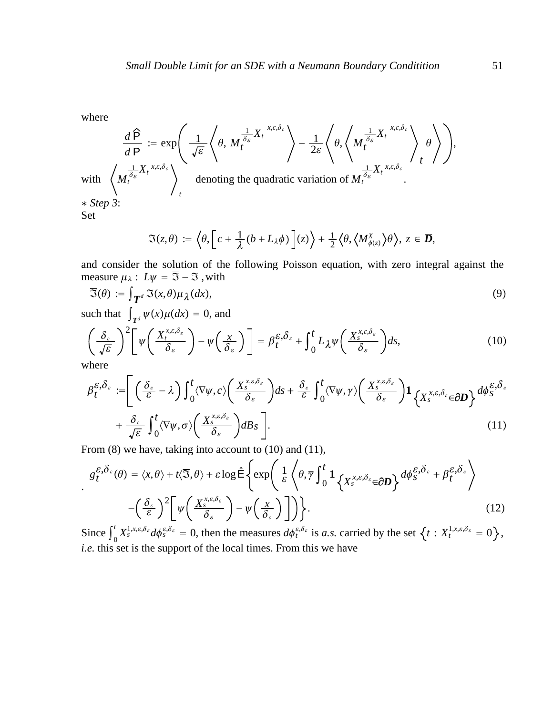where

$$
\frac{d\hat{P}}{dP} := \exp\left(\frac{1}{\sqrt{\varepsilon}}\left\langle \theta, M_t^{\frac{1}{\delta_{\varepsilon}}X_t}, \xi, \delta_{\varepsilon} \right\rangle - \frac{1}{2\varepsilon}\left\langle \theta, \left\langle M_t^{\frac{1}{\delta_{\varepsilon}}X_t}, \xi, \delta_{\varepsilon} \right\rangle + \left\langle M_t^{\frac{1}{\delta_{\varepsilon}}X_t}, \xi, \delta_{\varepsilon} \right\rangle \right\rangle, \text{ denoting the quadratic variation of } M_t^{\frac{1}{\delta_{\varepsilon}}X_t}, \xi, \delta_{\varepsilon} \right\rangle, \text{ and } M_t^{\frac{1}{\delta_{\varepsilon}}X_t} \left\langle \theta, \left\langle M_t^{\frac{1}{\delta_{\varepsilon}}X_t}, \xi, \delta_{\varepsilon} \right\rangle \right\rangle.
$$

$$
\mathfrak{I}(z,\theta) := \left\langle \theta, \left[ c + \frac{1}{\lambda} (b + L_{\lambda} \phi) \right] (z) \right\rangle + \frac{1}{2} \left\langle \theta, \left\langle M_{\phi(z)}^X \right\rangle \theta \right\rangle, \, z \in \overline{\mathcal{D}},
$$

and consider the solution of the following Poisson equation, with zero integral against the measure  $\mu_{\lambda}: L\psi = \overline{3} - 3$ , with

$$
\overline{\mathfrak{I}}(\theta) := \int_{\mathbf{T}^d} \mathfrak{I}(x,\theta) \mu_{\lambda}(dx),\tag{9}
$$

such that  $\int_{T^d} \psi(x) \mu(dx) = 0$ , and

$$
\left(\frac{\delta_{\varepsilon}}{\sqrt{\varepsilon}}\right)^{2}\left[\psi\left(\frac{X_{t}^{x,\varepsilon,\delta_{\varepsilon}}}{\delta_{\varepsilon}}\right)-\psi\left(\frac{x}{\delta_{\varepsilon}}\right)\right]=\beta_{t}^{\varepsilon,\delta_{\varepsilon}}+\int_{0}^{t}L_{\lambda}\psi\left(\frac{X_{s}^{x,\varepsilon,\delta_{\varepsilon}}}{\delta_{\varepsilon}}\right)ds,
$$
\n(10)

where

$$
\beta_t^{\varepsilon,\delta_{\varepsilon}} := \left[ \left( \frac{\delta_{\varepsilon}}{\varepsilon} - \lambda \right) \int_0^t \langle \nabla \psi, c \rangle \left( \frac{X_s^{x,\varepsilon,\delta_{\varepsilon}}}{\delta_{\varepsilon}} \right) ds + \frac{\delta_{\varepsilon}}{\varepsilon} \int_0^t \langle \nabla \psi, \gamma \rangle \left( \frac{X_s^{x,\varepsilon,\delta_{\varepsilon}}}{\delta_{\varepsilon}} \right) \mathbf{1}_{\left\{ X_s^{x,\varepsilon,\delta_{\varepsilon}} \in \partial \mathbf{D} \right\}} d\phi_s^{\varepsilon,\delta_{\varepsilon}} \right] + \frac{\delta_{\varepsilon}}{\sqrt{\varepsilon}} \int_0^t \langle \nabla \psi, \sigma \rangle \left( \frac{X_s^{x,\varepsilon,\delta_{\varepsilon}}}{\delta_{\varepsilon}} \right) dB_s \right].
$$
\n(11)

From (8) we have, taking into account to (10) and (11),

$$
g_t^{\varepsilon, \delta_{\varepsilon}}(\theta) = \langle x, \theta \rangle + t \langle \overline{3}, \theta \rangle + \varepsilon \log \hat{E} \left\{ \exp \left( \frac{1}{\varepsilon} \left\langle \theta, \overline{\gamma} \int_0^t \mathbf{1}_{\left\{ X_s^{\chi, \varepsilon, \delta_{\varepsilon}} \in \partial \mathbf{D} \right\}} d\phi_s^{\varepsilon, \delta_{\varepsilon}} + \beta_t^{\varepsilon, \delta_{\varepsilon}} \right. \right) \right\}
$$
\n
$$
- \left( \frac{\delta_{\varepsilon}}{\varepsilon} \right)^2 \left[ \psi \left( \frac{X_s^{\chi, \varepsilon, \delta_{\varepsilon}}}{\delta_{\varepsilon}} \right) - \psi \left( \frac{x}{\delta_{\varepsilon}} \right) \right] \right\}.
$$
\n(12)

Since  $\int_0^t$  $\int_{0}^{t} X_s^{1,x,\epsilon,\delta_{\varepsilon}} d\phi_s^{\epsilon,\delta_{\varepsilon}} = 0$ , then the measures  $d\phi_t^{\epsilon,\delta_{\varepsilon}}$  is *a.s.* carried by the set  $\left\{t : X_t^{1,x,\epsilon,\delta_{\varepsilon}} = 0\right\}$ , *i.e.* this set is the support of the local times. From this we have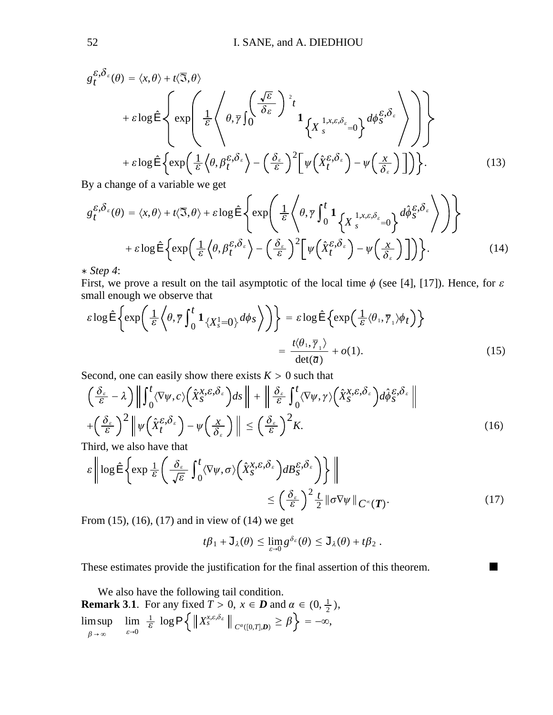$$
g_{t}^{\varepsilon,\delta_{\varepsilon}}(\theta) = \langle x,\theta \rangle + t\langle \overline{3},\theta \rangle
$$
  
+  $\varepsilon \log \hat{\mathsf{E}} \left\{ \exp \left( \frac{1}{\varepsilon} \left\langle \theta, \overline{\gamma} \int_{0}^{\sqrt{\varepsilon}} \frac{\sqrt{\varepsilon}}{\delta_{\varepsilon}} \right\rangle^{2} t \right\}$   
+  $\varepsilon \log \hat{\mathsf{E}} \left\{ \exp \left( \frac{1}{\varepsilon} \left\langle \theta, \beta_{t}^{\varepsilon,\delta_{\varepsilon}} \right\rangle - \left( \frac{\delta_{\varepsilon}}{\varepsilon} \right)^{2} \left[ \psi \left( \hat{X}_{t}^{\varepsilon,\delta_{\varepsilon}} \right) - \psi \left( \frac{x}{\delta_{\varepsilon}} \right) \right] \right] \right\}.$  (13)

By a change of a variable we get

$$
g_{t}^{\varepsilon,\delta_{\varepsilon}}(\theta) = \langle x,\theta \rangle + t\langle \overline{\mathfrak{I}},\theta \rangle + \varepsilon \log \hat{\mathsf{E}} \left\{ \exp \left( \frac{1}{\varepsilon} \left\langle \theta, \overline{\gamma} \int_{0}^{t} \mathbf{1}_{\left\{ X \int_{s}^{1}, x, \varepsilon, \delta_{\varepsilon}} = 0 \right\}} d\hat{\phi}_{S}^{\varepsilon,\delta_{\varepsilon}} \right\rangle \right) \right\} + \varepsilon \log \hat{\mathsf{E}} \left\{ \exp \left( \frac{1}{\varepsilon} \left\langle \theta, \beta_{t}^{\varepsilon,\delta_{\varepsilon}} \right\rangle - \left( \frac{\delta_{\varepsilon}}{\varepsilon} \right)^{2} \left[ \psi \left( \hat{X}_{t}^{\varepsilon,\delta_{\varepsilon}} \right) - \psi \left( \frac{x}{\delta_{\varepsilon}} \right) \right] \right) \right\}.
$$
 (14)

∗ *Step 4*:

First, we prove a result on the tail asymptotic of the local time  $\phi$  (see [4], [17]). Hence, for  $\varepsilon$ small enough we observe that

$$
\varepsilon \log \hat{\mathsf{E}} \left\{ \exp \left( \frac{1}{\varepsilon} \left\langle \theta, \overline{\gamma} \int_0^t \mathbf{1}_{\{X_s^1 = 0\}} d\phi_s \right\rangle \right) \right\} = \varepsilon \log \hat{\mathsf{E}} \left\{ \exp \left( \frac{1}{\varepsilon} \langle \theta_1, \overline{\gamma}_1 \rangle \phi_t \right) \right\}
$$

$$
= \frac{t \langle \theta_1, \overline{\gamma}_1 \rangle}{\det(\overline{a})} + o(1). \tag{15}
$$

Second, one can easily show there exists  $K > 0$  such that

$$
\left(\frac{\delta_{\varepsilon}}{\varepsilon} - \lambda\right) \left\| \int_{0}^{t} \langle \nabla \psi, c \rangle \left(\hat{X}_{S}^{X, \varepsilon, \delta_{\varepsilon}}\right) ds \right\| + \left\| \frac{\delta_{\varepsilon}}{\varepsilon} \int_{0}^{t} \langle \nabla \psi, \gamma \rangle \left(\hat{X}_{S}^{X, \varepsilon, \delta_{\varepsilon}}\right) d\hat{\phi}_{S}^{\varepsilon, \delta_{\varepsilon}} \right\|
$$
\n
$$
+ \left(\frac{\delta_{\varepsilon}}{\varepsilon}\right)^{2} \left\| \psi \left(\hat{X}_{t}^{\varepsilon, \delta_{\varepsilon}}\right) - \psi \left(\frac{x}{\delta_{\varepsilon}}\right) \right\| \leq \left(\frac{\delta_{\varepsilon}}{\varepsilon}\right)^{2} K. \tag{16}
$$

Third, we also have that

$$
\varepsilon \left\| \log \hat{\mathsf{E}} \left\{ \exp \frac{1}{\varepsilon} \left( \frac{\delta_{\varepsilon}}{\sqrt{\varepsilon}} \int_0^t \langle \nabla \psi, \sigma \rangle \left( \hat{X}_{S}^{X, \varepsilon, \delta_{\varepsilon}} \right) dB_{S}^{\varepsilon, \delta_{\varepsilon}} \right) \right\} \right\|
$$
  

$$
\leq \left( \frac{\delta_{\varepsilon}}{\varepsilon} \right)^2 \frac{t}{2} \|\sigma \nabla \psi\|_{C^{\infty}(\mathbf{T})}. \tag{17}
$$

From (15), (16), (17) and in view of (14) we get

$$
t\beta_1+\mathsf{J}_{\lambda}(\theta)\leq \lim_{\varepsilon\to 0}g^{\delta_{\varepsilon}}(\theta)\leq \mathsf{J}_{\lambda}(\theta)+t\beta_2.
$$

These estimates provide the justification for the final assertion of this theorem.

We also have the following tail condition. **Remark 3.1**. For any fixed  $T > 0$ ,  $x \in D$  and  $\alpha \in (0, \frac{1}{2})$ ,  $\beta\rightarrow\infty$ lim sup  $\varepsilon \rightarrow 0$  $\lim_{\varepsilon \to 0} \frac{1}{\varepsilon} \log \mathsf{P} \Big\{ \Big\| X^{x, \varepsilon, \delta_{\varepsilon}}_s \Big\|_{C^{\alpha}([0,T], \boldsymbol{D})} \geq \beta \Big\} = -\infty,$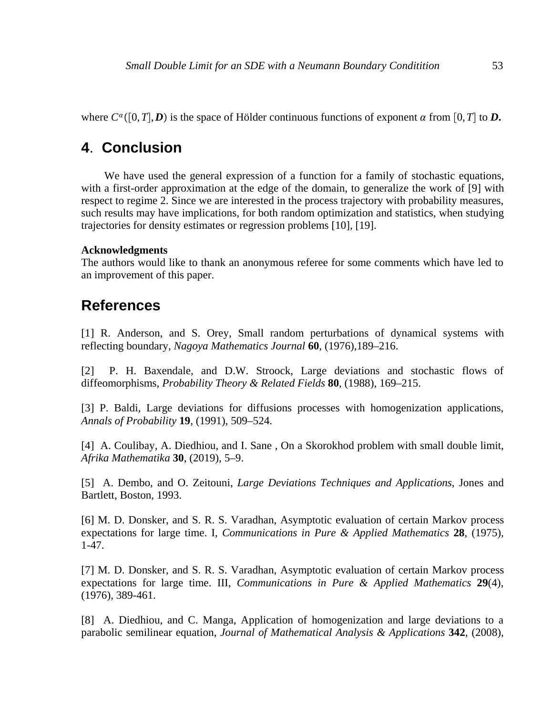where  $C^{\alpha}([0,T], D)$  is the space of Hölder continuous functions of exponent  $\alpha$  from [0,*T*] to *D*.

## **4**. **Conclusion**

We have used the general expression of a function for a family of stochastic equations, with a first-order approximation at the edge of the domain, to generalize the work of [9] with respect to regime 2. Since we are interested in the process trajectory with probability measures, such results may have implications, for both random optimization and statistics, when studying trajectories for density estimates or regression problems [10], [19].

### **Acknowledgments**

The authors would like to thank an anonymous referee for some comments which have led to an improvement of this paper.

### **References**

[1] R. Anderson, and S. Orey, Small random perturbations of dynamical systems with reflecting boundary, *Nagoya Mathematics Journal* **60**, (1976),189–216.

[2] P. H. Baxendale, and D.W. Stroock, Large deviations and stochastic flows of diffeomorphisms, *Probability Theory & Related Fields* **80**, (1988), 169–215.

[3] P. Baldi, Large deviations for diffusions processes with homogenization applications, *Annals of Probability* **19**, (1991), 509–524.

[4] A. Coulibay, A. Diedhiou, and I. Sane , On a Skorokhod problem with small double limit, *Afrika Mathematika* **30**, (2019), 5–9.

[5] A. Dembo, and O. Zeitouni, *Large Deviations Techniques and Applications*, Jones and Bartlett, Boston, 1993.

[6] M. D. Donsker, and S. R. S. Varadhan, Asymptotic evaluation of certain Markov process expectations for large time. I, *Communications in Pure & Applied Mathematics* **28**, (1975), 1-47.

[7] M. D. Donsker, and S. R. S. Varadhan, Asymptotic evaluation of certain Markov process expectations for large time. III, *Communications in Pure & Applied Mathematics* **29**(4), (1976), 389-461.

[8] A. Diedhiou, and C. Manga, Application of homogenization and large deviations to a parabolic semilinear equation, *Journal of Mathematical Analysis & Applications* **342**, (2008),